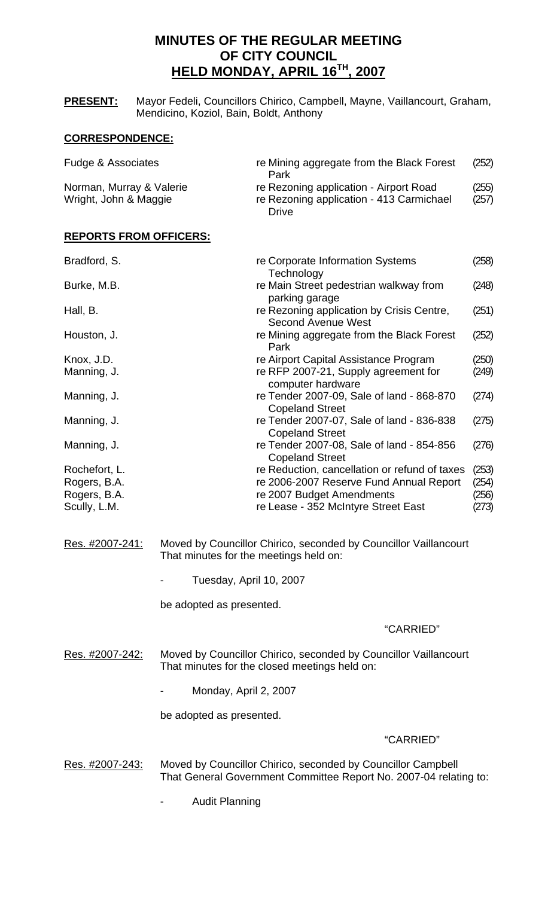# **MINUTES OF THE REGULAR MEETING OF CITY COUNCIL HELD MONDAY, APRIL 16TH, 2007**

**PRESENT:** Mayor Fedeli, Councillors Chirico, Campbell, Mayne, Vaillancourt, Graham, Mendicino, Koziol, Bain, Boldt, Anthony

# **CORRESPONDENCE:**

| Fudge & Associates       | re Mining aggregate from the Black Forest | (252) |
|--------------------------|-------------------------------------------|-------|
|                          | Park                                      |       |
| Norman, Murray & Valerie | re Rezoning application - Airport Road    | (255) |
| Wright, John & Maggie    | re Rezoning application - 413 Carmichael  | (257) |
|                          | Drive                                     |       |

# **REPORTS FROM OFFICERS:**

| Bradford, S.  | re Corporate Information Systems<br>Technology                         | (258) |
|---------------|------------------------------------------------------------------------|-------|
| Burke, M.B.   | re Main Street pedestrian walkway from<br>parking garage               | (248) |
| Hall, B.      | re Rezoning application by Crisis Centre,<br><b>Second Avenue West</b> | (251) |
| Houston, J.   | re Mining aggregate from the Black Forest<br>Park                      | (252) |
| Knox, J.D.    | re Airport Capital Assistance Program                                  | (250) |
| Manning, J.   | re RFP 2007-21, Supply agreement for<br>computer hardware              | (249) |
| Manning, J.   | re Tender 2007-09, Sale of land - 868-870<br><b>Copeland Street</b>    | (274) |
| Manning, J.   | re Tender 2007-07, Sale of land - 836-838<br><b>Copeland Street</b>    | (275) |
| Manning, J.   | re Tender 2007-08, Sale of land - 854-856<br><b>Copeland Street</b>    | (276) |
| Rochefort, L. | re Reduction, cancellation or refund of taxes                          | (253) |
| Rogers, B.A.  | re 2006-2007 Reserve Fund Annual Report                                | (254) |
| Rogers, B.A.  | re 2007 Budget Amendments                                              | (256) |
| Scully, L.M.  | re Lease - 352 McIntyre Street East                                    | (273) |

- Res. #2007-241: Moved by Councillor Chirico, seconded by Councillor Vaillancourt That minutes for the meetings held on:
	- Tuesday, April 10, 2007

be adopted as presented.

# "CARRIED"

Res. #2007-242: Moved by Councillor Chirico, seconded by Councillor Vaillancourt That minutes for the closed meetings held on:

- Monday, April 2, 2007

be adopted as presented.

# "CARRIED"

- Res. #2007-243: Moved by Councillor Chirico, seconded by Councillor Campbell That General Government Committee Report No. 2007-04 relating to:
	- Audit Planning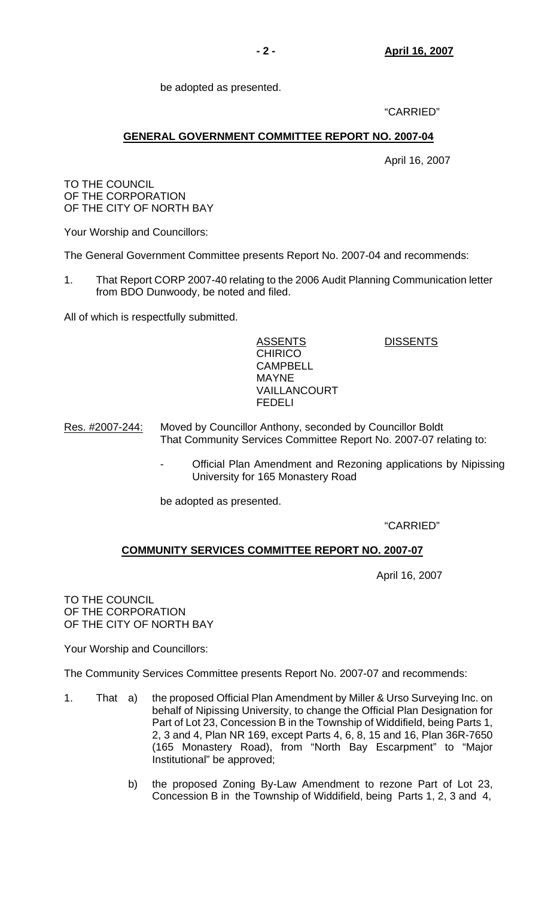be adopted as presented.

"CARRIED"

# **GENERAL GOVERNMENT COMMITTEE REPORT NO. 2007-04**

April 16, 2007

TO THE COUNCIL OF THE CORPORATION OF THE CITY OF NORTH BAY

Your Worship and Councillors:

The General Government Committee presents Report No. 2007-04 and recommends:

1. That Report CORP 2007-40 relating to the 2006 Audit Planning Communication letter from BDO Dunwoody, be noted and filed.

All of which is respectfully submitted.

ASSENTS DISSENTS **CHIRICO CAMPBELL**  MAYNE VAILLANCOURT FEDELI

- Res. #2007-244: Moved by Councillor Anthony, seconded by Councillor Boldt That Community Services Committee Report No. 2007-07 relating to:
	- Official Plan Amendment and Rezoning applications by Nipissing University for 165 Monastery Road

be adopted as presented.

"CARRIED"

# **COMMUNITY SERVICES COMMITTEE REPORT NO. 2007-07**

April 16, 2007

TO THE COUNCIL OF THE CORPORATION OF THE CITY OF NORTH BAY

Your Worship and Councillors:

The Community Services Committee presents Report No. 2007-07 and recommends:

- 1. That a) the proposed Official Plan Amendment by Miller & Urso Surveying Inc. on behalf of Nipissing University, to change the Official Plan Designation for Part of Lot 23, Concession B in the Township of Widdifield, being Parts 1, 2, 3 and 4, Plan NR 169, except Parts 4, 6, 8, 15 and 16, Plan 36R-7650 (165 Monastery Road), from "North Bay Escarpment" to "Major Institutional" be approved;
	- b) the proposed Zoning By-Law Amendment to rezone Part of Lot 23, Concession B in the Township of Widdifield, being Parts 1, 2, 3 and 4,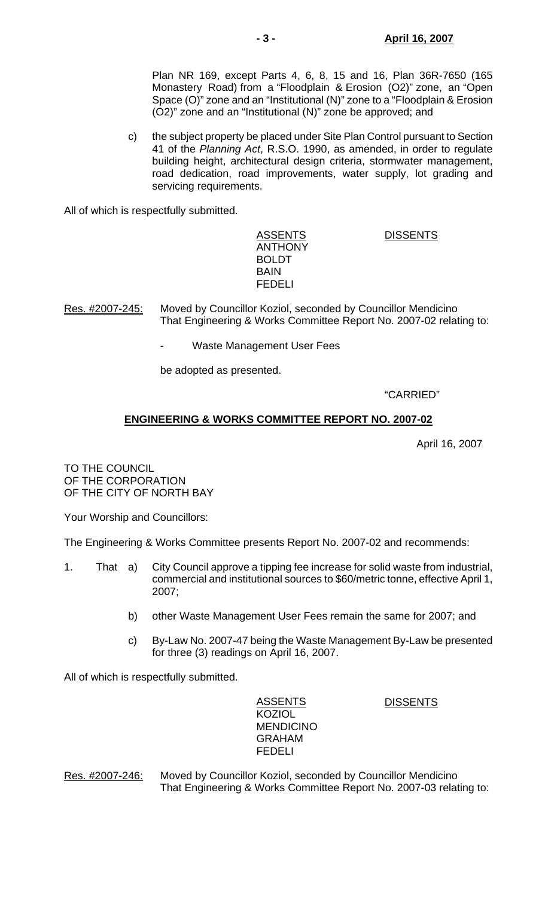Plan NR 169, except Parts 4, 6, 8, 15 and 16, Plan 36R-7650 (165 Monastery Road) from a "Floodplain & Erosion (O2)" zone, an "Open Space (O)" zone and an "Institutional (N)" zone to a "Floodplain & Erosion (O2)" zone and an "Institutional (N)" zone be approved; and

 c) the subject property be placed under Site Plan Control pursuant to Section 41 of the *Planning Act*, R.S.O. 1990, as amended, in order to regulate building height, architectural design criteria, stormwater management, road dedication, road improvements, water supply, lot grading and servicing requirements.

All of which is respectfully submitted.

ASSENTS DISSENTS ANTHONY BOLDT BAIN FEDELI

Res. #2007-245: Moved by Councillor Koziol, seconded by Councillor Mendicino That Engineering & Works Committee Report No. 2007-02 relating to:

Waste Management User Fees

be adopted as presented.

### "CARRIED"

# **ENGINEERING & WORKS COMMITTEE REPORT NO. 2007-02**

April 16, 2007

TO THE COUNCIL OF THE CORPORATION OF THE CITY OF NORTH BAY

Your Worship and Councillors:

The Engineering & Works Committee presents Report No. 2007-02 and recommends:

- 1. That a) City Council approve a tipping fee increase for solid waste from industrial, commercial and institutional sources to \$60/metric tonne, effective April 1, 2007;
	- b) other Waste Management User Fees remain the same for 2007; and
	- c) By-Law No. 2007-47 being the Waste Management By-Law be presented for three (3) readings on April 16, 2007.

All of which is respectfully submitted.

 ASSENTS DISSENTS KOZIOL MENDICINO GRAHAM FEDELI

Res. #2007-246: Moved by Councillor Koziol, seconded by Councillor Mendicino That Engineering & Works Committee Report No. 2007-03 relating to: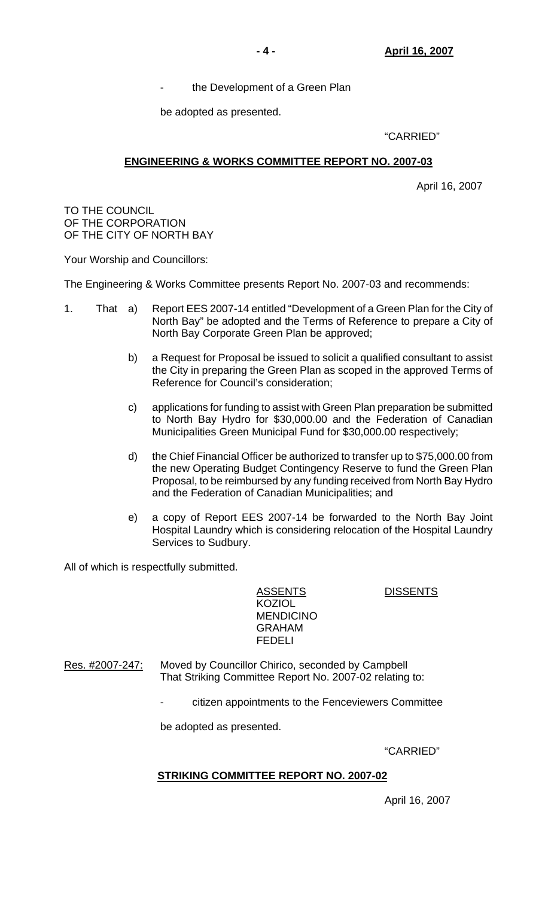the Development of a Green Plan

be adopted as presented.

# "CARRIED"

# **ENGINEERING & WORKS COMMITTEE REPORT NO. 2007-03**

April 16, 2007

TO THE COUNCIL OF THE CORPORATION OF THE CITY OF NORTH BAY

Your Worship and Councillors:

The Engineering & Works Committee presents Report No. 2007-03 and recommends:

- 1. That a) Report EES 2007-14 entitled "Development of a Green Plan for the City of North Bay" be adopted and the Terms of Reference to prepare a City of North Bay Corporate Green Plan be approved;
	- b) a Request for Proposal be issued to solicit a qualified consultant to assist the City in preparing the Green Plan as scoped in the approved Terms of Reference for Council's consideration;
	- c) applications for funding to assist with Green Plan preparation be submitted to North Bay Hydro for \$30,000.00 and the Federation of Canadian Municipalities Green Municipal Fund for \$30,000.00 respectively;
	- d) the Chief Financial Officer be authorized to transfer up to \$75,000.00 from the new Operating Budget Contingency Reserve to fund the Green Plan Proposal, to be reimbursed by any funding received from North Bay Hydro and the Federation of Canadian Municipalities; and
	- e) a copy of Report EES 2007-14 be forwarded to the North Bay Joint Hospital Laundry which is considering relocation of the Hospital Laundry Services to Sudbury.

All of which is respectfully submitted.

ASSENTS DISSENTS KOZIOL MENDICINO GRAHAM FEDELI

Res. #2007-247: Moved by Councillor Chirico, seconded by Campbell That Striking Committee Report No. 2007-02 relating to:

- citizen appointments to the Fenceviewers Committee

be adopted as presented.

"CARRIED"

# **STRIKING COMMITTEE REPORT NO. 2007-02**

April 16, 2007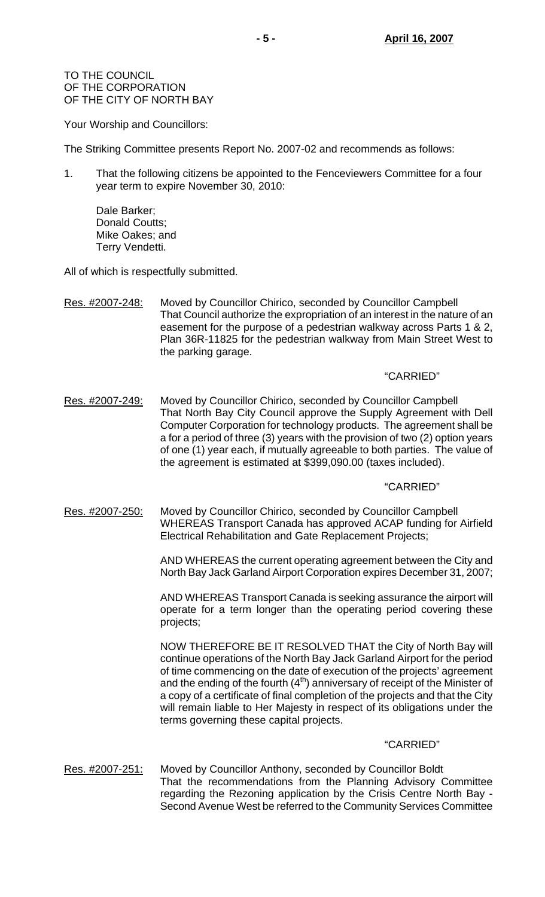TO THE COUNCIL OF THE CORPORATION OF THE CITY OF NORTH BAY

Your Worship and Councillors:

The Striking Committee presents Report No. 2007-02 and recommends as follows:

1. That the following citizens be appointed to the Fenceviewers Committee for a four year term to expire November 30, 2010:

 Dale Barker; Donald Coutts; Mike Oakes; and Terry Vendetti.

All of which is respectfully submitted.

Res. #2007-248: Moved by Councillor Chirico, seconded by Councillor Campbell That Council authorize the expropriation of an interest in the nature of an easement for the purpose of a pedestrian walkway across Parts 1 & 2, Plan 36R-11825 for the pedestrian walkway from Main Street West to the parking garage.

### "CARRIED"

Res. #2007-249: Moved by Councillor Chirico, seconded by Councillor Campbell That North Bay City Council approve the Supply Agreement with Dell Computer Corporation for technology products. The agreement shall be a for a period of three (3) years with the provision of two (2) option years of one (1) year each, if mutually agreeable to both parties. The value of the agreement is estimated at \$399,090.00 (taxes included).

#### "CARRIED"

Res. #2007-250: Moved by Councillor Chirico, seconded by Councillor Campbell WHEREAS Transport Canada has approved ACAP funding for Airfield Electrical Rehabilitation and Gate Replacement Projects;

> AND WHEREAS the current operating agreement between the City and North Bay Jack Garland Airport Corporation expires December 31, 2007;

> AND WHEREAS Transport Canada is seeking assurance the airport will operate for a term longer than the operating period covering these projects;

> NOW THEREFORE BE IT RESOLVED THAT the City of North Bay will continue operations of the North Bay Jack Garland Airport for the period of time commencing on the date of execution of the projects' agreement and the ending of the fourth  $(4<sup>th</sup>)$  anniversary of receipt of the Minister of a copy of a certificate of final completion of the projects and that the City will remain liable to Her Majesty in respect of its obligations under the terms governing these capital projects.

#### "CARRIED"

Res. #2007-251: Moved by Councillor Anthony, seconded by Councillor Boldt That the recommendations from the Planning Advisory Committee regarding the Rezoning application by the Crisis Centre North Bay - Second Avenue West be referred to the Community Services Committee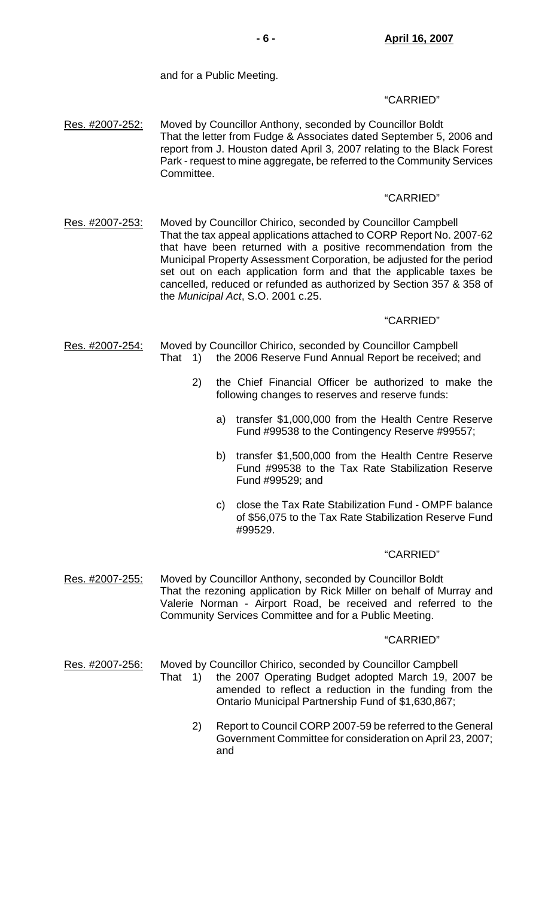and for a Public Meeting.

# "CARRIED"

Res. #2007-252: Moved by Councillor Anthony, seconded by Councillor Boldt That the letter from Fudge & Associates dated September 5, 2006 and report from J. Houston dated April 3, 2007 relating to the Black Forest Park - request to mine aggregate, be referred to the Community Services Committee.

# "CARRIED"

Res. #2007-253: Moved by Councillor Chirico, seconded by Councillor Campbell That the tax appeal applications attached to CORP Report No. 2007-62 that have been returned with a positive recommendation from the Municipal Property Assessment Corporation, be adjusted for the period set out on each application form and that the applicable taxes be cancelled, reduced or refunded as authorized by Section 357 & 358 of the *Municipal Act*, S.O. 2001 c.25.

# "CARRIED"

- Res. #2007-254: Moved by Councillor Chirico, seconded by Councillor Campbell That 1) the 2006 Reserve Fund Annual Report be received; and
	- 2) the Chief Financial Officer be authorized to make the following changes to reserves and reserve funds:
		- a) transfer \$1,000,000 from the Health Centre Reserve Fund #99538 to the Contingency Reserve #99557;
		- b) transfer \$1,500,000 from the Health Centre Reserve Fund #99538 to the Tax Rate Stabilization Reserve Fund #99529; and
		- c) close the Tax Rate Stabilization Fund OMPF balance of \$56,075 to the Tax Rate Stabilization Reserve Fund #99529.

# "CARRIED"

Res. #2007-255: Moved by Councillor Anthony, seconded by Councillor Boldt That the rezoning application by Rick Miller on behalf of Murray and Valerie Norman - Airport Road, be received and referred to the Community Services Committee and for a Public Meeting.

# "CARRIED"

Res. #2007-256: Moved by Councillor Chirico, seconded by Councillor Campbell

- That 1) the 2007 Operating Budget adopted March 19, 2007 be amended to reflect a reduction in the funding from the Ontario Municipal Partnership Fund of \$1,630,867;
	- 2) Report to Council CORP 2007-59 be referred to the General Government Committee for consideration on April 23, 2007; and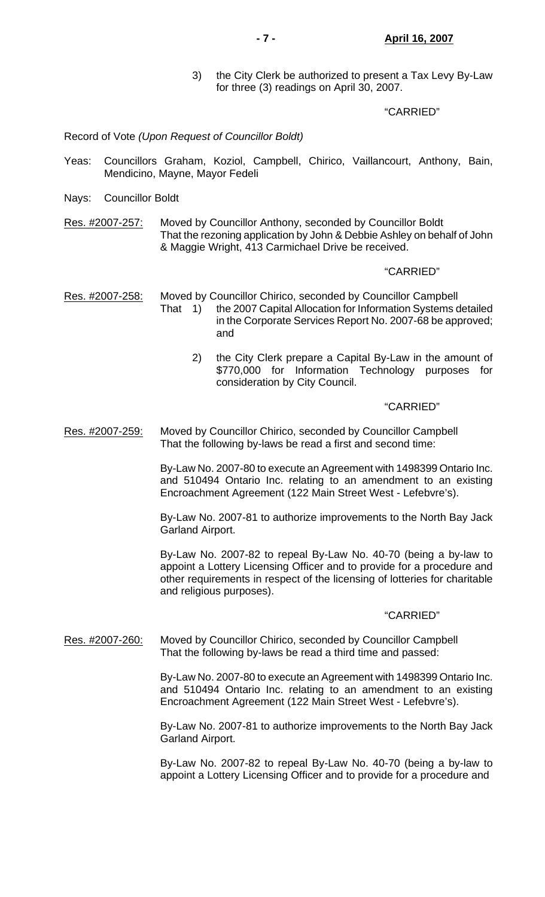3) the City Clerk be authorized to present a Tax Levy By-Law for three (3) readings on April 30, 2007.

#### "CARRIED"

#### Record of Vote *(Upon Request of Councillor Boldt)*

- Yeas: Councillors Graham, Koziol, Campbell, Chirico, Vaillancourt, Anthony, Bain, Mendicino, Mayne, Mayor Fedeli
- Nays: Councillor Boldt
- Res. #2007-257: Moved by Councillor Anthony, seconded by Councillor Boldt That the rezoning application by John & Debbie Ashley on behalf of John & Maggie Wright, 413 Carmichael Drive be received.

#### "CARRIED"

Res. #2007-258: Moved by Councillor Chirico, seconded by Councillor Campbell That 1) the 2007 Capital Allocation for Information Systems detailed in the Corporate Services Report No. 2007-68 be approved; and

> 2) the City Clerk prepare a Capital By-Law in the amount of \$770,000 for Information Technology purposes for consideration by City Council.

#### "CARRIED"

Res. #2007-259: Moved by Councillor Chirico, seconded by Councillor Campbell That the following by-laws be read a first and second time:

> By-Law No. 2007-80 to execute an Agreement with 1498399 Ontario Inc. and 510494 Ontario Inc. relating to an amendment to an existing Encroachment Agreement (122 Main Street West - Lefebvre's).

> By-Law No. 2007-81 to authorize improvements to the North Bay Jack Garland Airport.

> By-Law No. 2007-82 to repeal By-Law No. 40-70 (being a by-law to appoint a Lottery Licensing Officer and to provide for a procedure and other requirements in respect of the licensing of lotteries for charitable and religious purposes).

#### "CARRIED"

Res. #2007-260: Moved by Councillor Chirico, seconded by Councillor Campbell That the following by-laws be read a third time and passed:

> By-Law No. 2007-80 to execute an Agreement with 1498399 Ontario Inc. and 510494 Ontario Inc. relating to an amendment to an existing Encroachment Agreement (122 Main Street West - Lefebvre's).

> By-Law No. 2007-81 to authorize improvements to the North Bay Jack Garland Airport.

> By-Law No. 2007-82 to repeal By-Law No. 40-70 (being a by-law to appoint a Lottery Licensing Officer and to provide for a procedure and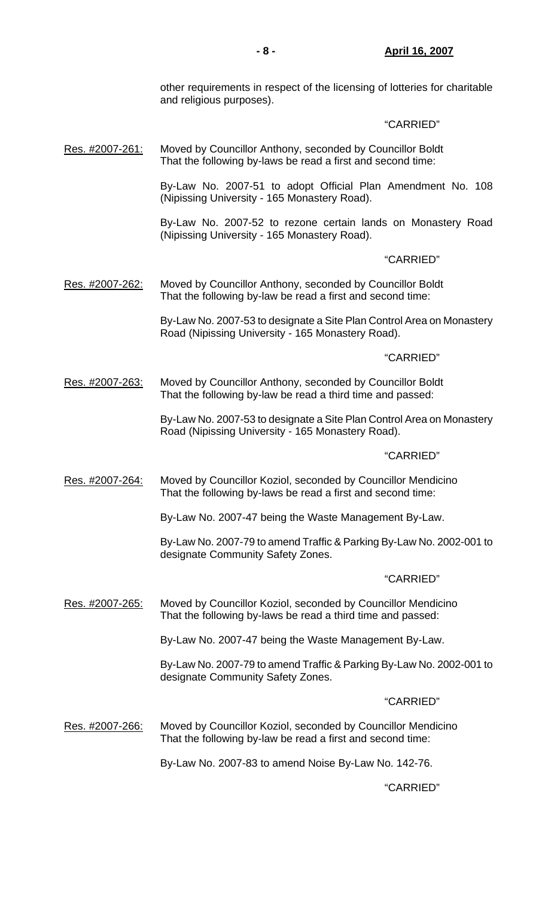other requirements in respect of the licensing of lotteries for charitable and religious purposes).

# "CARRIED"

Res. #2007-261: Moved by Councillor Anthony, seconded by Councillor Boldt That the following by-laws be read a first and second time:

> By-Law No. 2007-51 to adopt Official Plan Amendment No. 108 (Nipissing University - 165 Monastery Road).

> By-Law No. 2007-52 to rezone certain lands on Monastery Road (Nipissing University - 165 Monastery Road).

### "CARRIED"

Res. #2007-262: Moved by Councillor Anthony, seconded by Councillor Boldt That the following by-law be read a first and second time:

> By-Law No. 2007-53 to designate a Site Plan Control Area on Monastery Road (Nipissing University - 165 Monastery Road).

## "CARRIED"

Res. #2007-263: Moved by Councillor Anthony, seconded by Councillor Boldt That the following by-law be read a third time and passed:

> By-Law No. 2007-53 to designate a Site Plan Control Area on Monastery Road (Nipissing University - 165 Monastery Road).

#### "CARRIED"

Res. #2007-264: Moved by Councillor Koziol, seconded by Councillor Mendicino That the following by-laws be read a first and second time:

By-Law No. 2007-47 being the Waste Management By-Law.

 By-Law No. 2007-79 to amend Traffic & Parking By-Law No. 2002-001 to designate Community Safety Zones.

#### "CARRIED"

Res. #2007-265: Moved by Councillor Koziol, seconded by Councillor Mendicino That the following by-laws be read a third time and passed:

By-Law No. 2007-47 being the Waste Management By-Law.

 By-Law No. 2007-79 to amend Traffic & Parking By-Law No. 2002-001 to designate Community Safety Zones.

#### "CARRIED"

Res. #2007-266: Moved by Councillor Koziol, seconded by Councillor Mendicino That the following by-law be read a first and second time:

By-Law No. 2007-83 to amend Noise By-Law No. 142-76.

# "CARRIED"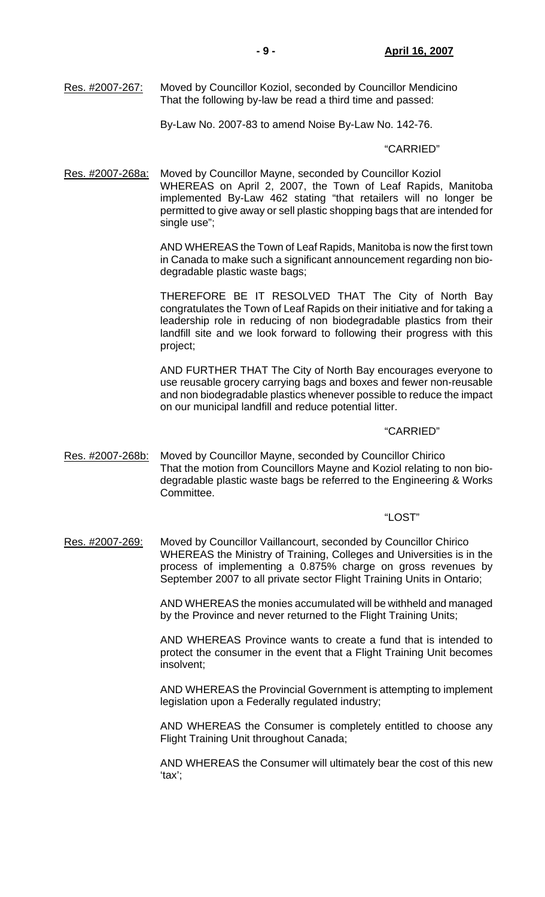Res. #2007-267: Moved by Councillor Koziol, seconded by Councillor Mendicino That the following by-law be read a third time and passed:

By-Law No. 2007-83 to amend Noise By-Law No. 142-76.

#### "CARRIED"

Res. #2007-268a: Moved by Councillor Mayne, seconded by Councillor Koziol WHEREAS on April 2, 2007, the Town of Leaf Rapids, Manitoba implemented By-Law 462 stating "that retailers will no longer be permitted to give away or sell plastic shopping bags that are intended for single use";

> AND WHEREAS the Town of Leaf Rapids, Manitoba is now the first town in Canada to make such a significant announcement regarding non biodegradable plastic waste bags;

> THEREFORE BE IT RESOLVED THAT The City of North Bay congratulates the Town of Leaf Rapids on their initiative and for taking a leadership role in reducing of non biodegradable plastics from their landfill site and we look forward to following their progress with this project;

> AND FURTHER THAT The City of North Bay encourages everyone to use reusable grocery carrying bags and boxes and fewer non-reusable and non biodegradable plastics whenever possible to reduce the impact on our municipal landfill and reduce potential litter.

### "CARRIED"

Res. #2007-268b: Moved by Councillor Mayne, seconded by Councillor Chirico That the motion from Councillors Mayne and Koziol relating to non biodegradable plastic waste bags be referred to the Engineering & Works Committee.

## "LOST"

Res. #2007-269: Moved by Councillor Vaillancourt, seconded by Councillor Chirico WHEREAS the Ministry of Training, Colleges and Universities is in the process of implementing a 0.875% charge on gross revenues by September 2007 to all private sector Flight Training Units in Ontario;

> AND WHEREAS the monies accumulated will be withheld and managed by the Province and never returned to the Flight Training Units;

> AND WHEREAS Province wants to create a fund that is intended to protect the consumer in the event that a Flight Training Unit becomes insolvent;

> AND WHEREAS the Provincial Government is attempting to implement legislation upon a Federally regulated industry;

> AND WHEREAS the Consumer is completely entitled to choose any Flight Training Unit throughout Canada;

> AND WHEREAS the Consumer will ultimately bear the cost of this new 'tax';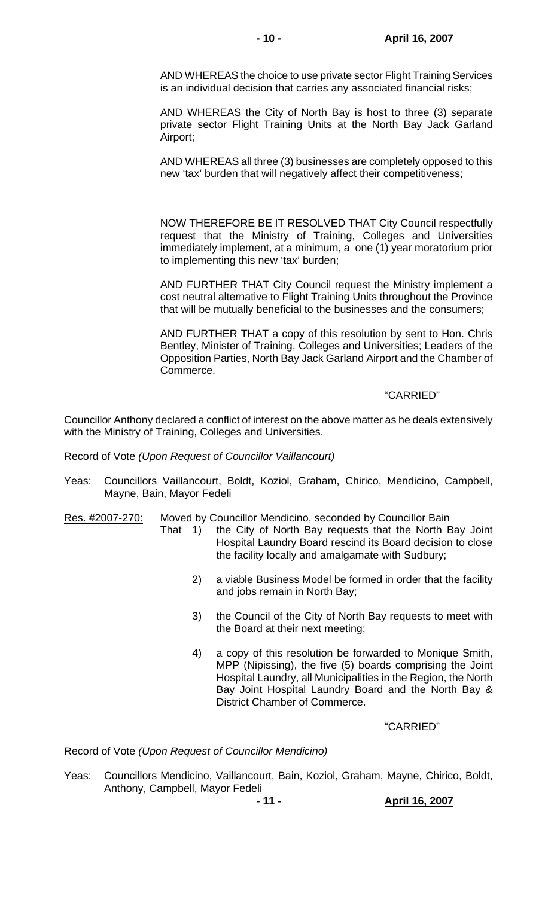AND WHEREAS the choice to use private sector Flight Training Services is an individual decision that carries any associated financial risks;

 AND WHEREAS the City of North Bay is host to three (3) separate private sector Flight Training Units at the North Bay Jack Garland Airport;

 AND WHEREAS all three (3) businesses are completely opposed to this new 'tax' burden that will negatively affect their competitiveness;

 NOW THEREFORE BE IT RESOLVED THAT City Council respectfully request that the Ministry of Training, Colleges and Universities immediately implement, at a minimum, a one (1) year moratorium prior to implementing this new 'tax' burden;

 AND FURTHER THAT City Council request the Ministry implement a cost neutral alternative to Flight Training Units throughout the Province that will be mutually beneficial to the businesses and the consumers;

 AND FURTHER THAT a copy of this resolution by sent to Hon. Chris Bentley, Minister of Training, Colleges and Universities; Leaders of the Opposition Parties, North Bay Jack Garland Airport and the Chamber of Commerce.

# "CARRIED"

Councillor Anthony declared a conflict of interest on the above matter as he deals extensively with the Ministry of Training, Colleges and Universities.

Record of Vote *(Upon Request of Councillor Vaillancourt)*

Yeas: Councillors Vaillancourt, Boldt, Koziol, Graham, Chirico, Mendicino, Campbell, Mayne, Bain, Mayor Fedeli

Res. #2007-270: Moved by Councillor Mendicino, seconded by Councillor Bain

- That 1) the City of North Bay requests that the North Bay Joint Hospital Laundry Board rescind its Board decision to close the facility locally and amalgamate with Sudbury;
	- 2) a viable Business Model be formed in order that the facility and jobs remain in North Bay;
	- 3) the Council of the City of North Bay requests to meet with the Board at their next meeting;
	- 4) a copy of this resolution be forwarded to Monique Smith, MPP (Nipissing), the five (5) boards comprising the Joint Hospital Laundry, all Municipalities in the Region, the North Bay Joint Hospital Laundry Board and the North Bay & District Chamber of Commerce.

"CARRIED"

Record of Vote *(Upon Request of Councillor Mendicino)*

Yeas: Councillors Mendicino, Vaillancourt, Bain, Koziol, Graham, Mayne, Chirico, Boldt, Anthony, Campbell, Mayor Fedeli

**- 11 - April 16, 2007**